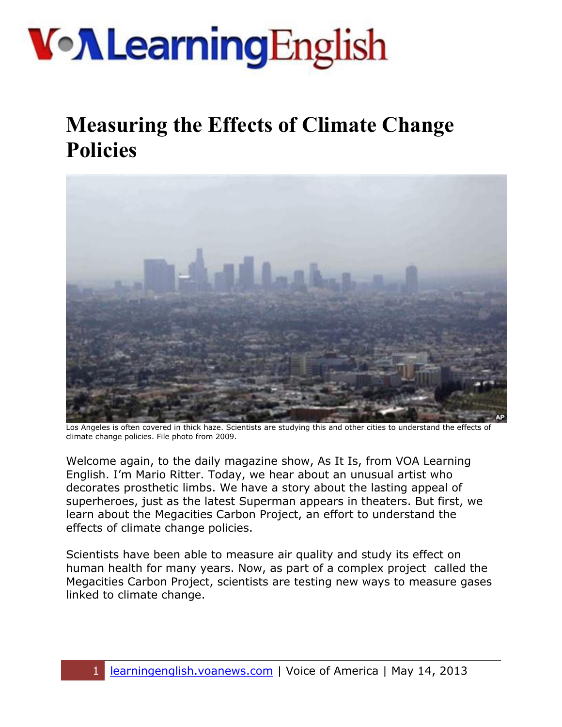# **Von Learning English**

#### **Measuring the Effects of Climate Change Policies**



Los Angeles is often covered in thick haze. Scientists are studying this and other cities to understand the effects of climate change policies. File photo from 2009.

Welcome again, to the daily magazine show, As It Is, from VOA Learning English. I'm Mario Ritter. Today, we hear about an unusual artist who decorates prosthetic limbs. We have a story about the lasting appeal of superheroes, just as the latest Superman appears in theaters. But first, we learn about the Megacities Carbon Project, an effort to understand the effects of climate change policies.

Scientists have been able to measure air quality and study its effect on human health for many years. Now, as part of a complex project called the Megacities Carbon Project, scientists are testing new ways to measure gases linked to climate change.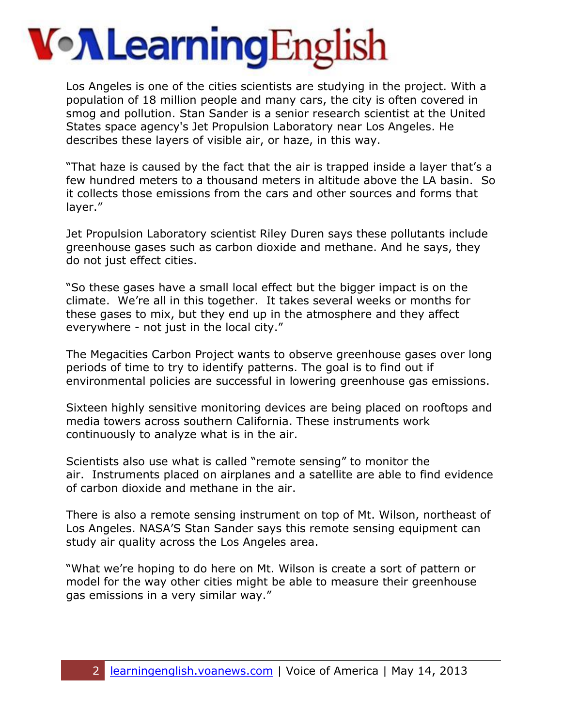## **Von Learning English**

Los Angeles is one of the cities scientists are studying in the project. With a population of 18 million people and many cars, the city is often covered in smog and pollution. Stan Sander is a senior research scientist at the United States space agency's Jet Propulsion Laboratory near Los Angeles. He describes these layers of visible air, or haze, in this way.

"That haze is caused by the fact that the air is trapped inside a layer that's a few hundred meters to a thousand meters in altitude above the LA basin. So it collects those emissions from the cars and other sources and forms that layer."

Jet Propulsion Laboratory scientist Riley Duren says these pollutants include greenhouse gases such as carbon dioxide and methane. And he says, they do not just effect cities.

"So these gases have a small local effect but the bigger impact is on the climate. We're all in this together. It takes several weeks or months for these gases to mix, but they end up in the atmosphere and they affect everywhere - not just in the local city."

The Megacities Carbon Project wants to observe greenhouse gases over long periods of time to try to identify patterns. The goal is to find out if environmental policies are successful in lowering greenhouse gas emissions.

Sixteen highly sensitive monitoring devices are being placed on rooftops and media towers across southern California. These instruments work continuously to analyze what is in the air.

Scientists also use what is called "remote sensing" to monitor the air. Instruments placed on airplanes and a satellite are able to find evidence of carbon dioxide and methane in the air.

There is also a remote sensing instrument on top of Mt. Wilson, northeast of Los Angeles. NASA'S Stan Sander says this remote sensing equipment can study air quality across the Los Angeles area.

"What we're hoping to do here on Mt. Wilson is create a sort of pattern or model for the way other cities might be able to measure their greenhouse gas emissions in a very similar way."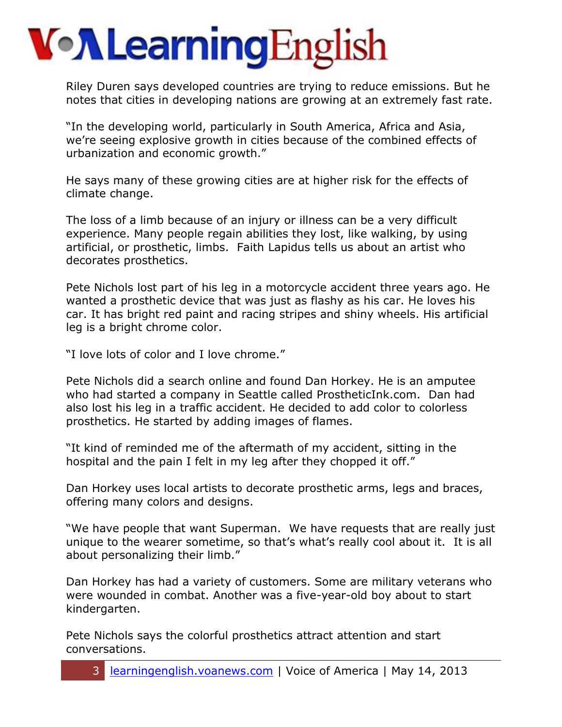# **Von Learning English**

Riley Duren says developed countries are trying to reduce emissions. But he notes that cities in developing nations are growing at an extremely fast rate.

"In the developing world, particularly in South America, Africa and Asia, we're seeing explosive growth in cities because of the combined effects of urbanization and economic growth."

He says many of these growing cities are at higher risk for the effects of climate change.

The loss of a limb because of an injury or illness can be a very difficult experience. Many people regain abilities they lost, like walking, by using artificial, or prosthetic, limbs. Faith Lapidus tells us about an artist who decorates prosthetics.

Pete Nichols lost part of his leg in a motorcycle accident three years ago. He wanted a prosthetic device that was just as flashy as his car. He loves his car. It has bright red paint and racing stripes and shiny wheels. His artificial leg is a bright chrome color.

"I love lots of color and I love chrome."

Pete Nichols did a search online and found Dan Horkey. He is an amputee who had started a company in Seattle called ProstheticInk.com. Dan had also lost his leg in a traffic accident. He decided to add color to colorless prosthetics. He started by adding images of flames.

"It kind of reminded me of the aftermath of my accident, sitting in the hospital and the pain I felt in my leg after they chopped it off."

Dan Horkey uses local artists to decorate prosthetic arms, legs and braces, offering many colors and designs.

"We have people that want Superman. We have requests that are really just unique to the wearer sometime, so that's what's really cool about it. It is all about personalizing their limb."

Dan Horkey has had a variety of customers. Some are military veterans who were wounded in combat. Another was a five-year-old boy about to start kindergarten.

Pete Nichols says the colorful prosthetics attract attention and start conversations.